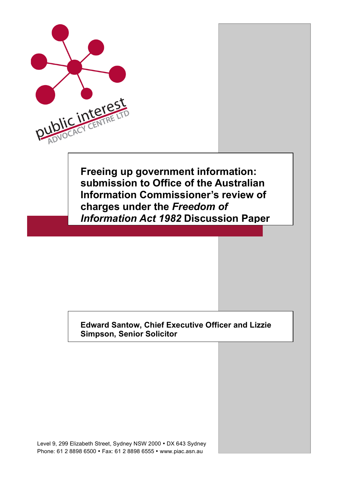

**Freeing up government information: submission to Office of the Australian Information Commissioner's review of charges under the** *Freedom of Information Act 1982* **Discussion Paper**

#### **Edward Santow, Chief Executive Officer and Lizzie Simpson, Senior Solicitor**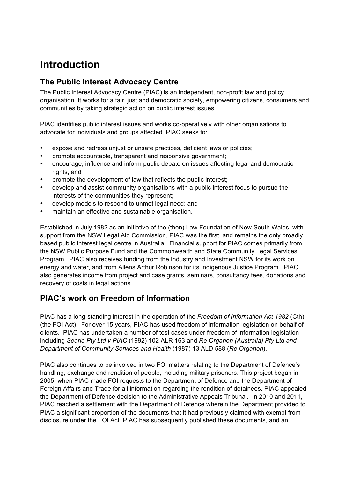# **Introduction**

#### **The Public Interest Advocacy Centre**

The Public Interest Advocacy Centre (PIAC) is an independent, non-profit law and policy organisation. It works for a fair, just and democratic society, empowering citizens, consumers and communities by taking strategic action on public interest issues.

PIAC identifies public interest issues and works co-operatively with other organisations to advocate for individuals and groups affected. PIAC seeks to:

- expose and redress unjust or unsafe practices, deficient laws or policies;
- promote accountable, transparent and responsive government;
- encourage, influence and inform public debate on issues affecting legal and democratic rights; and
- promote the development of law that reflects the public interest;
- develop and assist community organisations with a public interest focus to pursue the interests of the communities they represent;
- develop models to respond to unmet legal need; and
- maintain an effective and sustainable organisation.

Established in July 1982 as an initiative of the (then) Law Foundation of New South Wales, with support from the NSW Legal Aid Commission, PIAC was the first, and remains the only broadly based public interest legal centre in Australia. Financial support for PIAC comes primarily from the NSW Public Purpose Fund and the Commonwealth and State Community Legal Services Program. PIAC also receives funding from the Industry and Investment NSW for its work on energy and water, and from Allens Arthur Robinson for its Indigenous Justice Program. PIAC also generates income from project and case grants, seminars, consultancy fees, donations and recovery of costs in legal actions.

### **PIAC's work on Freedom of Information**

PIAC has a long-standing interest in the operation of the *Freedom of Information Act 1982* (Cth) (the FOI Act). For over 15 years, PIAC has used freedom of information legislation on behalf of clients. PIAC has undertaken a number of test cases under freedom of information legislation including *Searle Pty Ltd v PIAC* (1992) 102 ALR 163 and *Re Organon (Australia) Pty Ltd and Department of Community Services and Health* (1987) 13 ALD 588 (*Re Organon*).

PIAC also continues to be involved in two FOI matters relating to the Department of Defence's handling, exchange and rendition of people, including military prisoners. This project began in 2005, when PIAC made FOI requests to the Department of Defence and the Department of Foreign Affairs and Trade for all information regarding the rendition of detainees. PIAC appealed the Department of Defence decision to the Administrative Appeals Tribunal. In 2010 and 2011, PIAC reached a settlement with the Department of Defence wherein the Department provided to PIAC a significant proportion of the documents that it had previously claimed with exempt from disclosure under the FOI Act. PIAC has subsequently published these documents, and an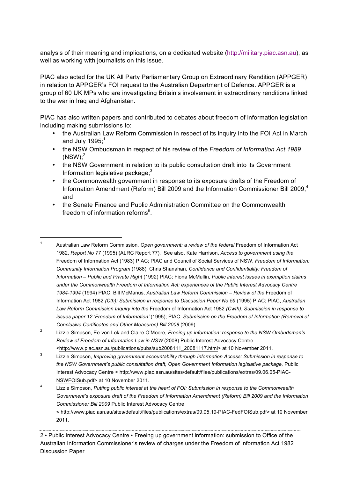analysis of their meaning and implications, on a dedicated website (http://military.piac.asn.au), as well as working with journalists on this issue.

PIAC also acted for the UK All Party Parliamentary Group on Extraordinary Rendition (APPGER) in relation to APPGER's FOI request to the Australian Department of Defence. APPGER is a group of 60 UK MPs who are investigating Britain's involvement in extraordinary renditions linked to the war in Iraq and Afghanistan.

PIAC has also written papers and contributed to debates about freedom of information legislation including making submissions to:

- the Australian Law Reform Commission in respect of its inquiry into the FOI Act in March and July 1995;<sup>1</sup>
- the NSW Ombudsman in respect of his review of the *Freedom of Information Act 1989*  $\text{(NSW)}$ ;<sup>2</sup>
- the NSW Government in relation to its public consultation draft into its Government Information legislative package;<sup>3</sup>
- the Commonwealth government in response to its exposure drafts of the Freedom of Information Amendment (Reform) Bill 2009 and the Information Commissioner Bill 2009; 4 and
- the Senate Finance and Public Administration Committee on the Commonwealth freedom of information reforms<sup>5</sup>.

2 • Public Interest Advocacy Centre • Freeing up government information: submission to Office of the Australian Information Commissioner's review of charges under the Freedom of Information Act 1982 Discussion Paper

<sup>&</sup>lt;sup>1</sup> Australian Law Reform Commission, Open government: a review of the federal Freedom of Information Act 1982, *Report No 77* (1995) (ALRC Report 77). See also, Kate Harrison, *Access to government using the*  Freedom of Information Act (1983) PIAC; PIAC and Council of Social Services of NSW, *Freedom of Information: Community Information Program* (1988); Chris Shanahan, *Confidence and Confidentiality: Freedom of Information – Public and Private Right* (1992) PIAC; Fiona McMullin, *Public interest issues in exemption claims under the Commonwealth Freedom of Information Act: experiences of the Public Interest Advocacy Centre 1984-1994* (1994) PIAC; Bill McManus, *Australian Law Reform Commission – Review of the* Freedom of Information Act 1982 *(Cth): Submission in response to Discussion Paper No 59* (1995) PIAC; PIAC, *Australian Law Reform Commission Inquiry into the* Freedom of Information Act 1982 *(Cwth): Submission in response to issues paper 12 'Freedom of Information'* (1995); PIAC, *Submission on the Freedom of Information (Removal of Conclusive Certificates and Other Measures) Bill 2008* (2009).

<sup>2</sup> Lizzie Simpson, Ee-von Lok and Claire O'Moore, *Freeing up information: response to the NSW Ombudsman's Review of Freedom of Information Law in NSW* (2008) Public Interest Advocacy Centre <http://www.piac.asn.au/publications/pubs/sub2008111\_20081117.html> at 10 November 2011.

<sup>3</sup> Lizzie Simpson, *Improving government accountability through Information Access: Submission in response to the NSW Government's public consultation draft, Open Government Information legislative package,* Public Interest Advocacy Centre < http://www.piac.asn.au/sites/default/files/publications/extras/09.06.05-PIAC-NSWFOISub.pdf> at 10 November 2011.

<sup>4</sup> Lizzie Simpson, *Putting public interest at the heart of FOI: Submission in response to the Commonwealth Government's exposure draft of the Freedom of Information Amendment (Reform) Bill 2009 and the Information Commissioner Bill 2009* Public Interest Advocacy Centre < http://www.piac.asn.au/sites/default/files/publications/extras/09.05.19-PIAC-FedFOISub.pdf> at 10 November

<sup>2011.</sup>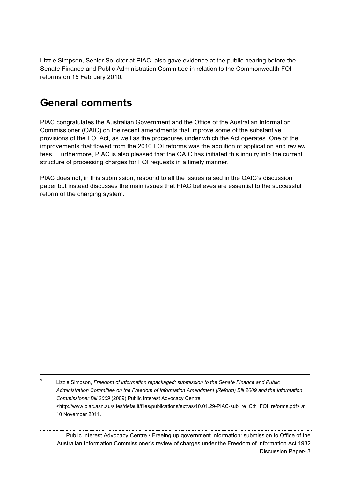Lizzie Simpson, Senior Solicitor at PIAC, also gave evidence at the public hearing before the Senate Finance and Public Administration Committee in relation to the Commonwealth FOI reforms on 15 February 2010.

## **General comments**

PIAC congratulates the Australian Government and the Office of the Australian Information Commissioner (OAIC) on the recent amendments that improve some of the substantive provisions of the FOI Act, as well as the procedures under which the Act operates. One of the improvements that flowed from the 2010 FOI reforms was the abolition of application and review fees. Furthermore, PIAC is also pleased that the OAIC has initiated this inquiry into the current structure of processing charges for FOI requests in a timely manner.

PIAC does not, in this submission, respond to all the issues raised in the OAIC's discussion paper but instead discusses the main issues that PIAC believes are essential to the successful reform of the charging system.

 5 Lizzie Simpson, *Freedom of information repackaged: submission to the Senate Finance and Public Administration Committee on the Freedom of Information Amendment (Reform) Bill 2009 and the Information Commissioner Bill 2009* (2009) Public Interest Advocacy Centre <http://www.piac.asn.au/sites/default/files/publications/extras/10.01.29-PIAC-sub\_re\_Cth\_FOI\_reforms.pdf> at 10 November 2011.

Public Interest Advocacy Centre • Freeing up government information: submission to Office of the Australian Information Commissioner's review of charges under the Freedom of Information Act 1982 Discussion Paper• 3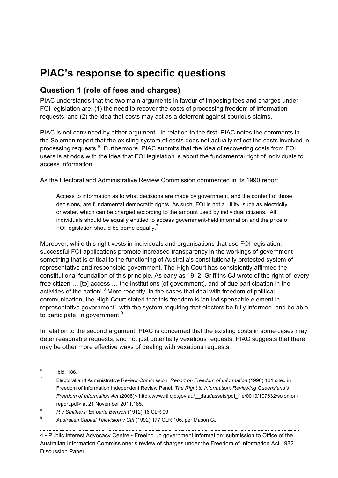## **PIAC's response to specific questions**

### **Question 1 (role of fees and charges)**

PIAC understands that the two main arguments in favour of imposing fees and charges under FOI legislation are: (1) the need to recover the costs of processing freedom of information requests; and (2) the idea that costs may act as a deterrent against spurious claims.

PIAC is not convinced by either argument. In relation to the first, PIAC notes the comments in the Solomon report that the existing system of costs does not actually reflect the costs involved in processing requests.<sup>6</sup> Furthermore, PIAC submits that the idea of recovering costs from FOI users is at odds with the idea that FOI legislation is about the fundamental right of individuals to access information.

As the Electoral and Administrative Review Commission commented in its 1990 report:

Access to information as to what decisions are made by government, and the content of those decisions, are fundamental democratic rights. As such, FOI is not a utility, such as electricity or water, which can be charged according to the amount used by individual citizens. All individuals should be equally entitled to access government-held information and the price of FOI legislation should be borne equally.<sup>7</sup>

Moreover, while this right vests in individuals and organisations that use FOI legislation, successful FOI applications promote increased transparency in the workings of government – something that is critical to the functioning of Australia's constitutionally-protected system of representative and responsible government. The High Court has consistently affirmed the constitutional foundation of this principle. As early as 1912, Griffiths CJ wrote of the right of 'every free citizen ... [to] access ... the institutions [of government], and of due participation in the activities of the nation'. $8$  More recently, in the cases that deal with freedom of political communication, the High Court stated that this freedom is 'an indispensable element in representative government', with the system requiring that electors be fully informed, and be able to participate, in government.<sup>9</sup>

In relation to the second argument, PIAC is concerned that the existing costs in some cases may deter reasonable requests, and not just potentially vexatious requests. PIAC suggests that there may be other more effective ways of dealing with vexatious requests.

4 • Public Interest Advocacy Centre • Freeing up government information: submission to Office of the Australian Information Commissioner's review of charges under the Freedom of Information Act 1982 Discussion Paper

 $6$  Ibid, 186.

<sup>7</sup> Electoral and Administrative Review Commission, *Report on Freedom of Information* (1990) 181 cited in Freedom of Information Independent Review Panel, *The Right to Information: Reviewing Queensland's Freedom of Information Act* (2008)< http://www.rti.qld.gov.au/\_\_data/assets/pdf\_file/0019/107632/solomonreport.pdf> at 21 November 2011,185.

<sup>8</sup> *R v Smithers; Ex parte Benson* (1912) 16 CLR 99.

<sup>9</sup> *Australian Capital Television v Cth* (1992) 177 CLR 106, per Mason CJ.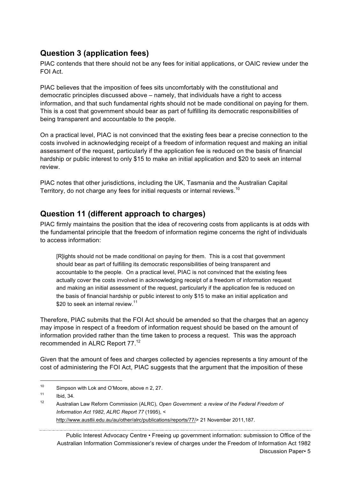## **Question 3 (application fees)**

PIAC contends that there should not be any fees for initial applications, or OAIC review under the FOI Act.

PIAC believes that the imposition of fees sits uncomfortably with the constitutional and democratic principles discussed above – namely, that individuals have a right to access information, and that such fundamental rights should not be made conditional on paying for them. This is a cost that government should bear as part of fulfilling its democratic responsibilities of being transparent and accountable to the people.

On a practical level, PIAC is not convinced that the existing fees bear a precise connection to the costs involved in acknowledging receipt of a freedom of information request and making an initial assessment of the request, particularly if the application fee is reduced on the basis of financial hardship or public interest to only \$15 to make an initial application and \$20 to seek an internal review.

PIAC notes that other jurisdictions, including the UK, Tasmania and the Australian Capital Territory, do not charge any fees for initial requests or internal reviews.<sup>10</sup>

### **Question 11 (different approach to charges)**

PIAC firmly maintains the position that the idea of recovering costs from applicants is at odds with the fundamental principle that the freedom of information regime concerns the right of individuals to access information:

[R]ights should not be made conditional on paying for them. This is a cost that government should bear as part of fulfilling its democratic responsibilities of being transparent and accountable to the people. On a practical level, PIAC is not convinced that the existing fees actually cover the costs involved in acknowledging receipt of a freedom of information request and making an initial assessment of the request, particularly if the application fee is reduced on the basis of financial hardship or public interest to only \$15 to make an initial application and \$20 to seek an internal review.<sup>11</sup>

Therefore, PIAC submits that the FOI Act should be amended so that the charges that an agency may impose in respect of a freedom of information request should be based on the amount of information provided rather than the time taken to process a request. This was the approach recommended in ALRC Report 77.<sup>12</sup>

Given that the amount of fees and charges collected by agencies represents a tiny amount of the cost of administering the FOI Act, PIAC suggests that the argument that the imposition of these

http://www.austlii.edu.au/au/other/alrc/publications/reports/77/> 21 November 2011,187.

Public Interest Advocacy Centre • Freeing up government information: submission to Office of the Australian Information Commissioner's review of charges under the Freedom of Information Act 1982

<sup>&</sup>lt;sup>10</sup> Simpson with Lok and O'Moore, above n 2, 27.

 $11$  Ibid, 34.

<sup>12</sup> Australian Law Reform Commission (ALRC), *Open Government: a review of the Federal Freedom of Information Act 1982*, *ALRC Report 77* (1995), <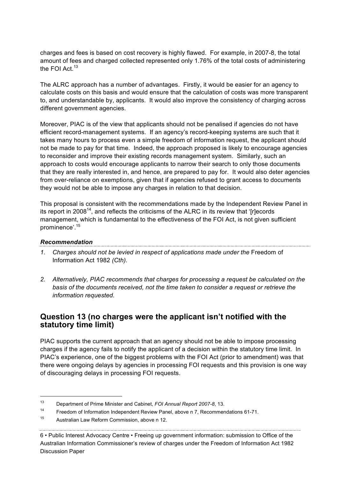charges and fees is based on cost recovery is highly flawed. For example, in 2007-8, the total amount of fees and charged collected represented only 1.76% of the total costs of administering the FOI Act.<sup>13</sup>

The ALRC approach has a number of advantages. Firstly, it would be easier for an agency to calculate costs on this basis and would ensure that the calculation of costs was more transparent to, and understandable by, applicants. It would also improve the consistency of charging across different government agencies.

Moreover, PIAC is of the view that applicants should not be penalised if agencies do not have efficient record-management systems. If an agency's record-keeping systems are such that it takes many hours to process even a simple freedom of information request, the applicant should not be made to pay for that time. Indeed, the approach proposed is likely to encourage agencies to reconsider and improve their existing records management system. Similarly, such an approach to costs would encourage applicants to narrow their search to only those documents that they are really interested in, and hence, are prepared to pay for. It would also deter agencies from over-reliance on exemptions, given that if agencies refused to grant access to documents they would not be able to impose any charges in relation to that decision.

This proposal is consistent with the recommendations made by the Independent Review Panel in its report in 2008<sup>14</sup>, and reflects the criticisms of the ALRC in its review that '[r]ecords management, which is fundamental to the effectiveness of the FOI Act, is not given sufficient prominence'.15

## *Recommendation*

- 1. Charges should not be levied in respect of applications made under the Freedom of Information Act 1982 *(Cth).*
- *2. Alternatively, PIAC recommends that charges for processing a request be calculated on the basis of the documents received, not the time taken to consider a request or retrieve the information requested.*

#### **Question 13 (no charges were the applicant isn't notified with the statutory time limit)**

PIAC supports the current approach that an agency should not be able to impose processing charges if the agency fails to notify the applicant of a decision within the statutory time limit. In PIAC's experience, one of the biggest problems with the FOI Act (prior to amendment) was that there were ongoing delays by agencies in processing FOI requests and this provision is one way of discouraging delays in processing FOI requests.

6 • Public Interest Advocacy Centre • Freeing up government information: submission to Office of the Australian Information Commissioner's review of charges under the Freedom of Information Act 1982 Discussion Paper

 <sup>13</sup> Department of Prime Minister and Cabinet, *FOI Annual Report 2007-8*, 13.

<sup>14</sup> Freedom of Information Independent Review Panel, above n 7, Recommendations 61-71.

<sup>15</sup> Australian Law Reform Commission, above n 12.